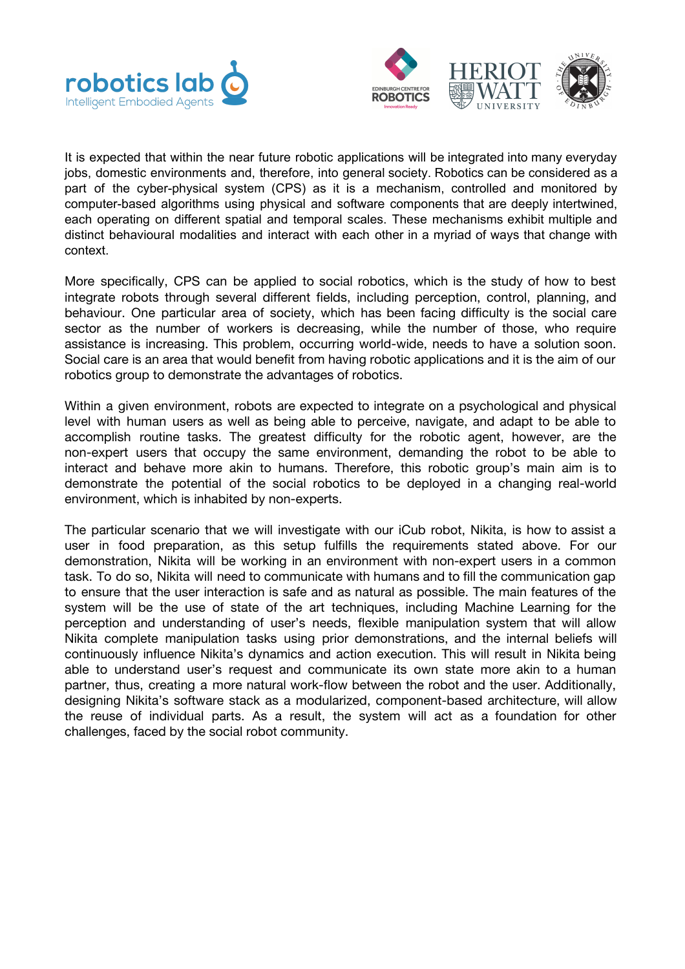



It is expected that within the near future robotic applications will be integrated into many everyday jobs, domestic environments and, therefore, into general society. Robotics can be considered as a part of the cyber-physical system (CPS) as it is a mechanism, controlled and monitored by computer-based algorithms using physical and software components that are deeply intertwined, each operating on different spatial and temporal scales. These mechanisms exhibit multiple and distinct behavioural modalities and interact with each other in a myriad of ways that change with context.

More specifically, CPS can be applied to social robotics, which is the study of how to best integrate robots through several different fields, including perception, control, planning, and behaviour. One particular area of society, which has been facing difficulty is the social care sector as the number of workers is decreasing, while the number of those, who require assistance is increasing. This problem, occurring world-wide, needs to have a solution soon. Social care is an area that would benefit from having robotic applications and it is the aim of our robotics group to demonstrate the advantages of robotics.

Within a given environment, robots are expected to integrate on a psychological and physical level with human users as well as being able to perceive, navigate, and adapt to be able to accomplish routine tasks. The greatest difficulty for the robotic agent, however, are the non-expert users that occupy the same environment, demanding the robot to be able to interact and behave more akin to humans. Therefore, this robotic group's main aim is to demonstrate the potential of the social robotics to be deployed in a changing real-world environment, which is inhabited by non-experts.

The particular scenario that we will investigate with our iCub robot, Nikita, is how to assist a user in food preparation, as this setup fulfills the requirements stated above. For our demonstration, Nikita will be working in an environment with non-expert users in a common task. To do so, Nikita will need to communicate with humans and to fill the communication gap to ensure that the user interaction is safe and as natural as possible. The main features of the system will be the use of state of the art techniques, including Machine Learning for the perception and understanding of user's needs, flexible manipulation system that will allow Nikita complete manipulation tasks using prior demonstrations, and the internal beliefs will continuously influence Nikita's dynamics and action execution. This will result in Nikita being able to understand user's request and communicate its own state more akin to a human partner, thus, creating a more natural work-flow between the robot and the user. Additionally, designing Nikita's software stack as a modularized, component-based architecture, will allow the reuse of individual parts. As a result, the system will act as a foundation for other challenges, faced by the social robot community.